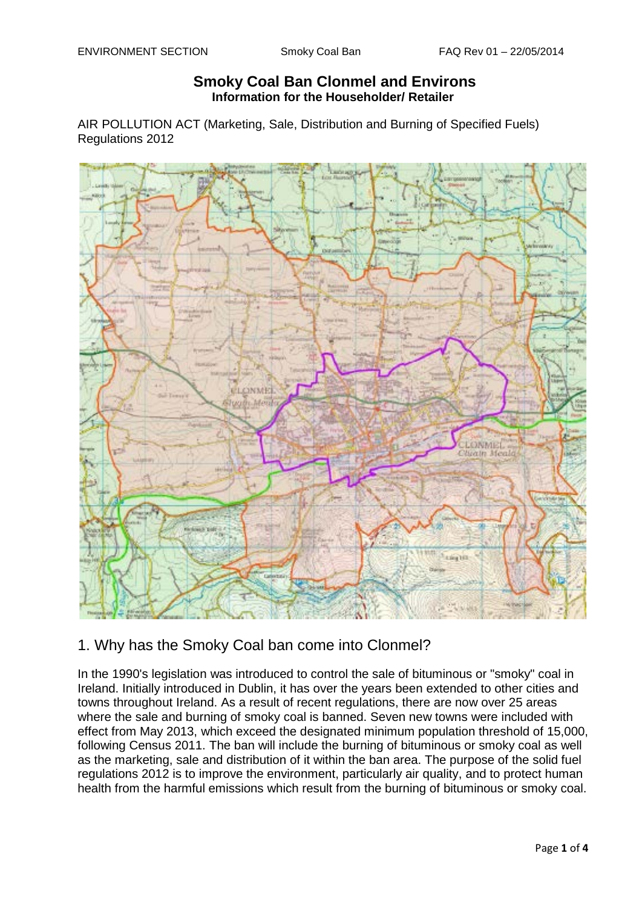### **Smoky Coal Ban Clonmel and Environs Information for the Householder/ Retailer**

AIR POLLUTION ACT (Marketing, Sale, Distribution and Burning of Specified Fuels) Regulations 2012



# 1. Why has the Smoky Coal ban come into Clonmel?

In the 1990's legislation was introduced to control the sale of bituminous or "smoky" coal in Ireland. Initially introduced in Dublin, it has over the years been extended to other cities and towns throughout Ireland. As a result of recent regulations, there are now over 25 areas where the sale and burning of smoky coal is banned. Seven new towns were included with effect from May 2013, which exceed the designated minimum population threshold of 15,000, following Census 2011. The ban will include the burning of bituminous or smoky coal as well as the marketing, sale and distribution of it within the ban area. The purpose of the solid fuel regulations 2012 is to improve the environment, particularly air quality, and to protect human health from the harmful emissions which result from the burning of bituminous or smoky coal.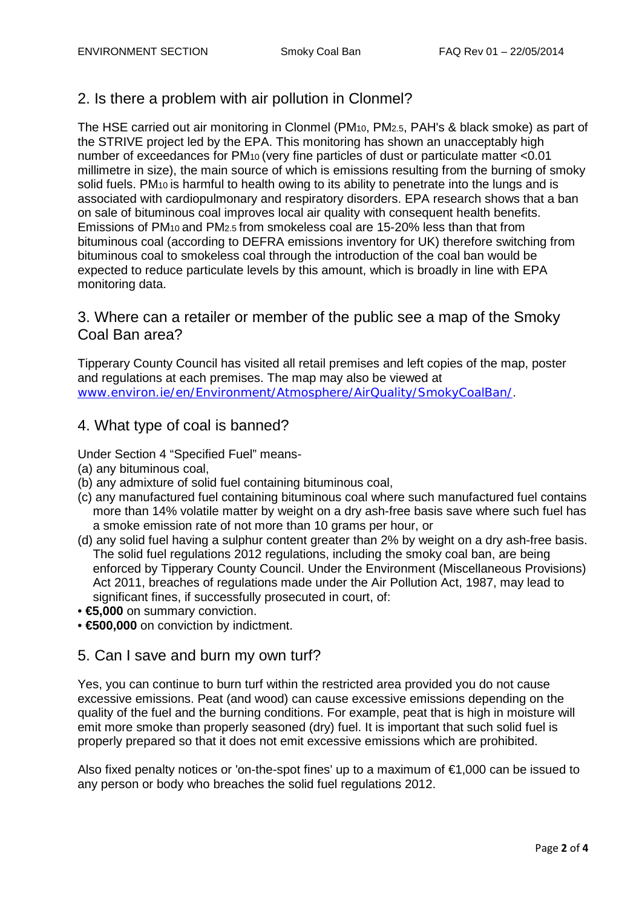# 2. Is there a problem with air pollution in Clonmel?

The HSE carried out air monitoring in Clonmel (PM10, PM2.5, PAH's & black smoke) as part of the STRIVE project led by the EPA. This monitoring has shown an unacceptably high number of exceedances for PM10 (very fine particles of dust or particulate matter <0.01 millimetre in size), the main source of which is emissions resulting from the burning of smoky solid fuels. PM<sub>10</sub> is harmful to health owing to its ability to penetrate into the lungs and is associated with cardiopulmonary and respiratory disorders. EPA research shows that a ban on sale of bituminous coal improves local air quality with consequent health benefits. Emissions of PM10 and PM2.5 from smokeless coal are 15-20% less than that from bituminous coal (according to DEFRA emissions inventory for UK) therefore switching from bituminous coal to smokeless coal through the introduction of the coal ban would be expected to reduce particulate levels by this amount, which is broadly in line with EPA monitoring data.

# 3. Where can a retailer or member of the public see a map of the Smoky Coal Ban area?

Tipperary County Council has visited all retail premises and left copies of the map, poster and regulations at each premises. The map may also be viewed at [www.environ.ie/en/Environment/Atmosphere/AirQuality/SmokyCoalBan/](http://www.environ.ie/en/Environment/Atmosphere/AirQuality/SmokyCoalBan/).

# 4. What type of coal is banned?

Under Section 4 "Specified Fuel" means-

- (a) any bituminous coal,
- (b) any admixture of solid fuel containing bituminous coal,
- (c) any manufactured fuel containing bituminous coal where such manufactured fuel contains more than 14% volatile matter by weight on a dry ash-free basis save where such fuel has a smoke emission rate of not more than 10 grams per hour, or
- (d) any solid fuel having a sulphur content greater than 2% by weight on a dry ash-free basis. The solid fuel regulations 2012 regulations, including the smoky coal ban, are being enforced by Tipperary County Council. Under the Environment (Miscellaneous Provisions) Act 2011, breaches of regulations made under the Air Pollution Act, 1987, may lead to significant fines, if successfully prosecuted in court, of:
- **€5,000** on summary conviction.
- **€500,000** on conviction by indictment.

### 5. Can I save and burn my own turf?

Yes, you can continue to burn turf within the restricted area provided you do not cause excessive emissions. Peat (and wood) can cause excessive emissions depending on the quality of the fuel and the burning conditions. For example, peat that is high in moisture will emit more smoke than properly seasoned (dry) fuel. It is important that such solid fuel is properly prepared so that it does not emit excessive emissions which are prohibited.

Also fixed penalty notices or 'on-the-spot fines' up to a maximum of €1,000 can be issued to any person or body who breaches the solid fuel regulations 2012.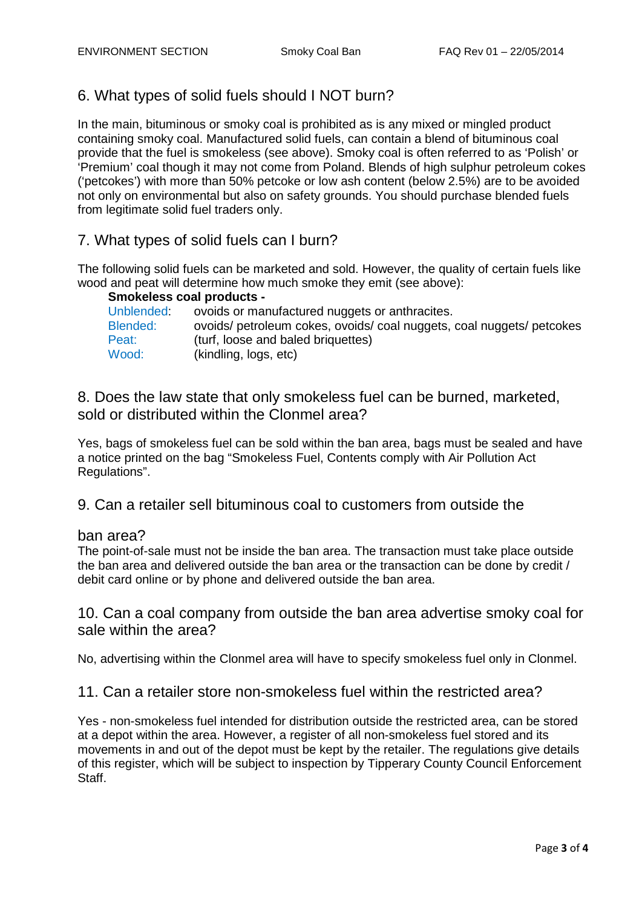# 6. What types of solid fuels should I NOT burn?

In the main, bituminous or smoky coal is prohibited as is any mixed or mingled product containing smoky coal. Manufactured solid fuels, can contain a blend of bituminous coal provide that the fuel is smokeless (see above). Smoky coal is often referred to as 'Polish' or 'Premium' coal though it may not come from Poland. Blends of high sulphur petroleum cokes ('petcokes') with more than 50% petcoke or low ash content (below 2.5%) are to be avoided not only on environmental but also on safety grounds. You should purchase blended fuels from legitimate solid fuel traders only.

# 7. What types of solid fuels can I burn?

The following solid fuels can be marketed and sold. However, the quality of certain fuels like wood and peat will determine how much smoke they emit (see above):

#### **Smokeless coal products -**

| Unblended: | ovoids or manufactured nuggets or anthracites.                        |  |
|------------|-----------------------------------------------------------------------|--|
| Blended:   | ovoids/ petroleum cokes, ovoids/ coal nuggets, coal nuggets/ petcokes |  |
| Peat:      | (turf, loose and baled briquettes)                                    |  |
| Wood:      | (kindling, logs, etc)                                                 |  |

### 8. Does the law state that only smokeless fuel can be burned, marketed, sold or distributed within the Clonmel area?

Yes, bags of smokeless fuel can be sold within the ban area, bags must be sealed and have a notice printed on the bag "Smokeless Fuel, Contents comply with Air Pollution Act Regulations".

9. Can a retailer sell bituminous coal to customers from outside the

#### ban area?

The point-of-sale must not be inside the ban area. The transaction must take place outside the ban area and delivered outside the ban area or the transaction can be done by credit / debit card online or by phone and delivered outside the ban area.

10. Can a coal company from outside the ban area advertise smoky coal for sale within the area?

No, advertising within the Clonmel area will have to specify smokeless fuel only in Clonmel.

#### 11. Can a retailer store non-smokeless fuel within the restricted area?

Yes - non-smokeless fuel intended for distribution outside the restricted area, can be stored at a depot within the area. However, a register of all non-smokeless fuel stored and its movements in and out of the depot must be kept by the retailer. The regulations give details of this register, which will be subject to inspection by Tipperary County Council Enforcement Staff.